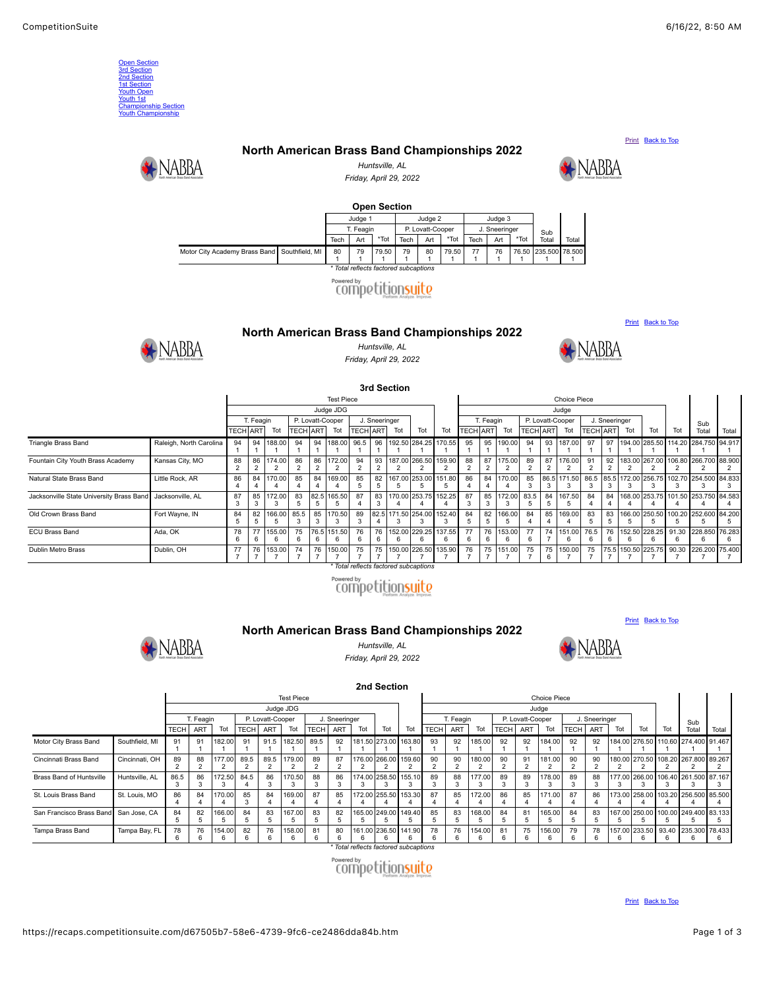<span id="page-0-4"></span><span id="page-0-1"></span><span id="page-0-0"></span>

| <b>Open Section</b><br>3rd Section<br>2nd Section<br><b>1st Section</b><br><b>Youth Open</b><br>Youth 1st<br><b>Championship Section</b><br><b>Youth Championship</b>                                                                                                                                    |                                              |                                     |                                        |                          |                                            |                        |                                |                                  |                      |                          |                                       |                          |                      |                                        |                          |                      |                                            |                          |                        |                                                   |                          |                          |                          |                           |                          |
|----------------------------------------------------------------------------------------------------------------------------------------------------------------------------------------------------------------------------------------------------------------------------------------------------------|----------------------------------------------|-------------------------------------|----------------------------------------|--------------------------|--------------------------------------------|------------------------|--------------------------------|----------------------------------|----------------------|--------------------------|---------------------------------------|--------------------------|----------------------|----------------------------------------|--------------------------|----------------------|--------------------------------------------|--------------------------|------------------------|---------------------------------------------------|--------------------------|--------------------------|--------------------------|---------------------------|--------------------------|
| Print Back to Top                                                                                                                                                                                                                                                                                        |                                              |                                     |                                        |                          |                                            |                        |                                |                                  |                      |                          |                                       |                          |                      |                                        |                          |                      |                                            |                          |                        |                                                   |                          |                          |                          |                           |                          |
| North American Brass Band Championships 2022<br>$\blacktriangleright$ NABBA<br>NABBA<br>Huntsville, AL                                                                                                                                                                                                   |                                              |                                     |                                        |                          |                                            |                        |                                |                                  |                      |                          |                                       |                          |                      |                                        |                          |                      |                                            |                          |                        |                                                   |                          |                          |                          |                           |                          |
| Friday, April 29, 2022                                                                                                                                                                                                                                                                                   |                                              |                                     |                                        |                          |                                            |                        |                                |                                  |                      |                          |                                       |                          |                      |                                        |                          |                      |                                            |                          |                        |                                                   |                          |                          |                          |                           |                          |
| <b>Open Section</b>                                                                                                                                                                                                                                                                                      |                                              |                                     |                                        |                          |                                            |                        |                                |                                  |                      |                          |                                       |                          |                      |                                        |                          |                      |                                            |                          |                        |                                                   |                          |                          |                          |                           |                          |
| Judge 1<br>Judge 2<br>Judge 3                                                                                                                                                                                                                                                                            |                                              |                                     |                                        |                          |                                            |                        |                                |                                  |                      |                          |                                       |                          |                      |                                        |                          |                      |                                            |                          |                        |                                                   |                          |                          |                          |                           |                          |
| T. Feagin<br>P. Lovatt-Cooper<br>J. Sneeringer<br>Sub<br>*Tot<br>*Tot<br>*Tot<br>Tech<br>Art<br>Art<br>Tech<br>Art<br>Total<br>Tech<br>Total                                                                                                                                                             |                                              |                                     |                                        |                          |                                            |                        |                                |                                  |                      |                          |                                       |                          |                      |                                        |                          |                      |                                            |                          |                        |                                                   |                          |                          |                          |                           |                          |
| Motor City Academy Brass Band Southfield, MI<br>79.50<br>77<br>76.50<br>235.500<br>78.500<br>80<br>79<br>79<br>80<br>79.50<br>76<br>$\mathbf{1}$<br>$\mathbf{1}$<br>$\overline{1}$<br>$\mathbf{1}$<br>$\overline{1}$<br>$\overline{1}$<br>$\overline{1}$<br>$\overline{1}$<br>-1<br>-1<br>$\overline{1}$ |                                              |                                     |                                        |                          |                                            |                        |                                |                                  |                      |                          |                                       |                          |                      |                                        |                          |                      |                                            |                          |                        |                                                   |                          |                          |                          |                           |                          |
|                                                                                                                                                                                                                                                                                                          |                                              |                                     |                                        |                          |                                            |                        |                                |                                  |                      |                          | Total reflects factored subcaptions   |                          |                      |                                        |                          |                      |                                            |                          |                        |                                                   |                          |                          |                          |                           |                          |
|                                                                                                                                                                                                                                                                                                          | Powered by<br>competitionsuite               |                                     |                                        |                          |                                            |                        |                                |                                  |                      |                          |                                       |                          |                      |                                        |                          |                      |                                            |                          |                        |                                                   |                          |                          |                          |                           |                          |
|                                                                                                                                                                                                                                                                                                          |                                              |                                     |                                        |                          |                                            |                        |                                |                                  |                      |                          |                                       |                          |                      |                                        |                          |                      |                                            |                          |                        |                                                   |                          |                          |                          |                           |                          |
|                                                                                                                                                                                                                                                                                                          |                                              |                                     |                                        |                          |                                            |                        |                                |                                  |                      |                          |                                       |                          |                      |                                        |                          |                      |                                            |                          |                        |                                                   |                          | Print Back to Top        |                          |                           |                          |
|                                                                                                                                                                                                                                                                                                          | North American Brass Band Championships 2022 |                                     |                                        |                          |                                            |                        |                                |                                  |                      |                          |                                       |                          |                      |                                        |                          |                      |                                            |                          |                        |                                                   |                          |                          |                          |                           |                          |
| NABBA<br>Huntsville, AL<br>Friday, April 29, 2022                                                                                                                                                                                                                                                        |                                              |                                     |                                        |                          |                                            |                        |                                |                                  |                      |                          |                                       |                          |                      |                                        |                          |                      |                                            |                          |                        |                                                   |                          |                          |                          |                           |                          |
|                                                                                                                                                                                                                                                                                                          |                                              |                                     |                                        |                          |                                            |                        |                                |                                  |                      |                          |                                       |                          |                      |                                        |                          |                      |                                            |                          |                        |                                                   |                          |                          |                          |                           |                          |
| 3rd Section<br>Choice Piece                                                                                                                                                                                                                                                                              |                                              |                                     |                                        |                          |                                            |                        |                                |                                  |                      |                          |                                       |                          |                      |                                        |                          |                      |                                            |                          |                        |                                                   |                          |                          |                          |                           |                          |
|                                                                                                                                                                                                                                                                                                          |                                              |                                     |                                        |                          |                                            |                        | <b>Test Piece</b><br>Judge JDG |                                  |                      |                          |                                       |                          |                      |                                        |                          |                      |                                            | Judge                    |                        |                                                   |                          |                          |                          |                           |                          |
|                                                                                                                                                                                                                                                                                                          |                                              | T. Feagin<br><b>TECH ART</b><br>Tot |                                        |                          | P. Lovatt-Cooper<br><b>TECH ART</b><br>Tot |                        |                                | J. Sneeringer<br><b>TECH ART</b> |                      | Tot<br>Tot               |                                       | Tot                      |                      | T. Feagin<br><b>TECH ART</b><br>Tot    |                          |                      | P. Lovatt-Cooper<br><b>TECH ART</b><br>Tot |                          |                        | J. Sneeringer<br><b>TECH</b><br><b>ART</b><br>Tot |                          |                          | Tot                      | Sub<br>Total              | Total                    |
| Triangle Brass Band                                                                                                                                                                                                                                                                                      | Raleigh, North Carolina                      | 94                                  | 94                                     | 188.00                   | 94                                         | 94                     | 188.00                         | 96.5                             | 96                   | 192.50                   |                                       | 284.25 170.55            | 95                   | 95                                     | 190.00                   | 94                   | 93                                         | 187.00                   | 97                     | 97                                                | 194.00                   | Tot<br>285.50            | 114.20                   | 284.750                   | 94.917                   |
| Fountain City Youth Brass Academy                                                                                                                                                                                                                                                                        | Kansas City, MO                              | $\mathbf{1}$<br>88                  | $\mathbf{1}$<br>86                     | $\mathbf{1}$<br>174.00   | -1<br>86                                   | 1<br>86                | $\mathbf{1}$<br>172.00         | $\mathbf{1}$<br>94               | -1<br>93             | $\mathbf{1}$<br>187.00   | -1<br>266.50                          | 1<br>159.90              | $\overline{1}$<br>88 | $\overline{1}$<br>87                   | $\mathbf{1}$<br>175.00   | $\mathbf{1}$<br>89   | $\mathbf{1}$<br>87                         | $\mathbf{1}$<br>176.00   | $\mathbf{1}$<br>91     | -1<br>92                                          | -1<br>183.00             | $\mathbf{1}$<br>267.00   | $\mathbf{1}$<br>106.80   | -1<br>266.700             | $\mathbf{1}$<br>88.900   |
| Natural State Brass Band                                                                                                                                                                                                                                                                                 | Little Rock, AR                              | $\overline{2}$<br>86                | $\sqrt{2}$<br>84                       | $\overline{2}$<br>170.00 | $\overline{2}$<br>85                       | $\overline{2}$<br>84   | $\overline{2}$<br>169.00       | $\mathbf 2$<br>85                | $\overline{2}$<br>82 | 2<br>167.00              | $\overline{2}$<br>253.00              | 2<br>151.80              | $\overline{2}$<br>86 | $\overline{2}$<br>84                   | 2<br>170.00              | $\overline{2}$<br>85 | $\overline{2}$<br>86.5                     | $\overline{2}$<br>171.50 | $\overline{2}$<br>86.5 | $\overline{2}$<br>85.5                            | $\overline{2}$<br>172.00 | $\overline{2}$<br>256.75 | 2<br>102.70              | 2<br>254.500              | $\overline{2}$<br>84.833 |
| Jacksonville State University Brass Band                                                                                                                                                                                                                                                                 | Jacksonville, AL                             | $\overline{4}$<br>87                | $\overline{4}$<br>85                   | $\overline{4}$<br>172.00 | $\overline{4}$<br>83                       | $\overline{4}$<br>82.5 | 4<br>165.50                    | 5<br>87                          | 5<br>83              | 5<br>170.00              | 5<br>253.75                           | 5<br>152.25              | $\overline{4}$<br>87 | $\overline{4}$<br>85                   | $\overline{4}$<br>172.00 | 3<br>83.5            | 3<br>84                                    | 3<br>167.50              | 3<br>84                | 3<br>84                                           | 3<br>168.00              | 3<br>253.75              | 3<br>101.50              | 3<br>253.750              | 3<br>84.583              |
| Old Crown Brass Band                                                                                                                                                                                                                                                                                     | Fort Wayne, IN                               | 3<br>84                             | 3                                      | 3<br>166.00              | 5<br>85.5                                  | 5<br>85                | 5<br>170.50                    | $\overline{4}$<br>89             | 3<br>82.5            | $\overline{a}$<br>171.50 | $\overline{4}$<br>254.00              | $\overline{4}$<br>152.40 | 3<br>84              | $\mathbf{3}$                           | 3<br>166.00              | 5<br>84              | 5<br>85                                    | 5<br>169.00              | $\overline{4}$<br>83   | 4<br>83                                           | $\overline{4}$<br>166.00 | $\overline{4}$<br>250.50 | $\overline{4}$<br>100.20 | $\overline{4}$<br>252.600 | $\overline{4}$<br>84.200 |
|                                                                                                                                                                                                                                                                                                          |                                              | 5                                   | $\begin{array}{c} 82 \\ 5 \end{array}$ | 5                        | 3                                          | 3                      | 3                              | 3                                | 4                    | 3                        | 3                                     | 3                        | 5                    | $\begin{array}{c} 82 \\ 5 \end{array}$ | 5                        | $\overline{4}$       | $\overline{4}$                             | $\overline{4}$           | 5                      | 5                                                 | 5                        | 5                        | 5                        | 5                         | 5                        |
| ECU Brass Band                                                                                                                                                                                                                                                                                           | Ada, OK                                      | 78<br>6                             | 77<br>6                                | 155.00<br>6              | 75<br>6                                    | 76.5<br>6              | 151.50<br>6                    | 76<br>6                          | 76<br>6              | 152.00<br>6              | 229.25<br>6                           | 137.55<br>6              | 77<br>6              | 76<br>6                                | 153.00<br>6              | 77<br>6              | 74<br>$\overline{7}$                       | 151.00<br>6              | 76.5<br>6              | 76<br>6                                           | 152.50<br>6              | 228.25<br>6              | 91.30<br>6               | 228.850<br>6              | 76.283<br>6              |
| Dublin Metro Brass                                                                                                                                                                                                                                                                                       | Dublin, OH                                   | 77<br>$\overline{7}$                | 76<br>$\overline{7}$                   | 153.00<br>$\overline{7}$ | 74<br>$\overline{7}$                       | 76<br>$\overline{7}$   | 150.00<br>7                    | 75<br>$\overline{7}$             | 75<br>7              | 150.00<br>7              | 226.50<br>7                           | 135.90<br>$\overline{7}$ | 76<br>7              | 75<br>$\overline{7}$                   | 151.00<br>7              | 75<br>$\overline{7}$ | 75<br>6                                    | 150.00<br>7              | 75<br>$\overline{7}$   | 75.5<br>$\overline{7}$                            | 150.50<br>$\overline{7}$ | 225.75<br>7              | 90.30<br>$\overline{7}$  | 226.200<br>7              | 75.400<br>$\overline{7}$ |
|                                                                                                                                                                                                                                                                                                          |                                              |                                     |                                        |                          |                                            |                        | Powered by                     |                                  |                      |                          | * Total reflects factored subcaptions |                          |                      |                                        |                          |                      |                                            |                          |                        |                                                   |                          |                          |                          |                           |                          |
|                                                                                                                                                                                                                                                                                                          |                                              |                                     |                                        |                          |                                            |                        |                                |                                  |                      | competitionsuite         |                                       |                          |                      |                                        |                          |                      |                                            |                          |                        |                                                   |                          |                          |                          |                           |                          |

### **North American Brass Band Championships 2022**

<span id="page-0-2"></span>

*Huntsville, AL Friday, April 29, 2022*



**[Print](https://recaps.competitionsuite.com/bd22f2c5-bd6c-4177-aa7c-8597ce84e881.htm)** [Back to Top](#page-0-4)

<span id="page-0-3"></span>**2nd Section** Test Piece Choice Piece Choice Piece Sub Total Total Judge JDG Judge T. Feagin P. Lovatt-Cooper J. Sneeringer T. Feagin P. Lovatt-Cooper J. Sneeringer TECH ART Tot TECH ART Tot TECH ART Tot Tot Tot TECH ART Tot TECH ART Tot TECH ART Tot Tot Tot Motor City Brass Band Southfield, MI  $\frac{91}{1}$ 91 1 82.00 1 91 1 91.5 1 182.50 1 89.5 1 92 1 181.50 1 273.00 1 163.80 1 93 1 92 1 185.00 1 92 1 92 1 184.00 1 92 1 92 1 184.00 276.50 1 1 110.60 1 274.400 1 91.467 1 Cincinnati Brass Band Cincinnati, OH  $\frac{89}{2}$ 88 2 177.00 2 89.5  $\frac{1}{2}$ 89.5  $\frac{1}{2}$ 179.00  $\overline{2}$ 89  $\overline{2}$ 87 2 176.00 2 266.0  $\frac{1}{2}$ 159.60  $\frac{1}{2}$ 90 2 90 2 180.00  $\frac{1}{2}$ 90 2 91 2 181.00  $\overline{2}$ 90 2 90 2 180.00 270.50 2  $\overline{2}$ 108.20 2 267.80  $\frac{1}{2}$ 89.267  $\overline{2}$ Brass Band of Huntsville Huntsville, AL  $\begin{array}{c} 86.5 \\ 3 \end{array}$ 86 3 172.50 3 84.5 4 86 3 170.50 3 88 3 86 3 174.00 3 258.50 3 155.10 3 89 3 88 3 177.00 3 89 3 89 3 178.00 3 89 3 88 3 177.00 3 266.00 3 106.40 3 261.500  $\ddot{\textbf{3}}$ 87.167  $\frac{1}{3}$ St. Louis Brass Band St. Louis, MO 4 84 4 170.00 4 85 3 84 4 169.00 4 87 4 85 4  $172.0$ 4 55.50 4 153.30 4 87 4 85 4 72.00  $\overline{4}$ 86 4 85 4 171.00 4 87 4 86 4 173.00 258.00 4 4  $103.20$ 4 56.50 4 5.500 4 San Francisco Brass Band San Jose, CA 84  $\overline{5}$ 82 5 166.00 5 84  $\overline{5}$ 83 5 167.00 5 83 5 82 5 165.00 5 249.00 5 149.40 5 85 5 83 5 168.00 5 84 5 81 5 165.00 5 84 5 83 5 167.00 250.00 5 5 100.00 5 249.400  $\overline{5}$ 83.133  $\overline{5}$ Tampa Brass Band Tampa Bay, FL  $\begin{array}{c} 78 \\ 6 \end{array}$ 76 6 154.00 6 82 6 76 6 158.00 6 81 6 80 6 161.00 6 236.50 6 141.90 6 78 6 76 6 154.00 6 81 6 75 6 156.00 6 79 6 78 6 157.00 6 233.50 6 93.40 6 235.300 6 78.433 6 *\* Total reflects factored subcaptions*

Powered by<br>COMPetitionsuite

**[Print](https://recaps.competitionsuite.com/d6ee235b-f36f-4e42-b599-5488a1ca81b8.htm)** [Back to Top](#page-0-4)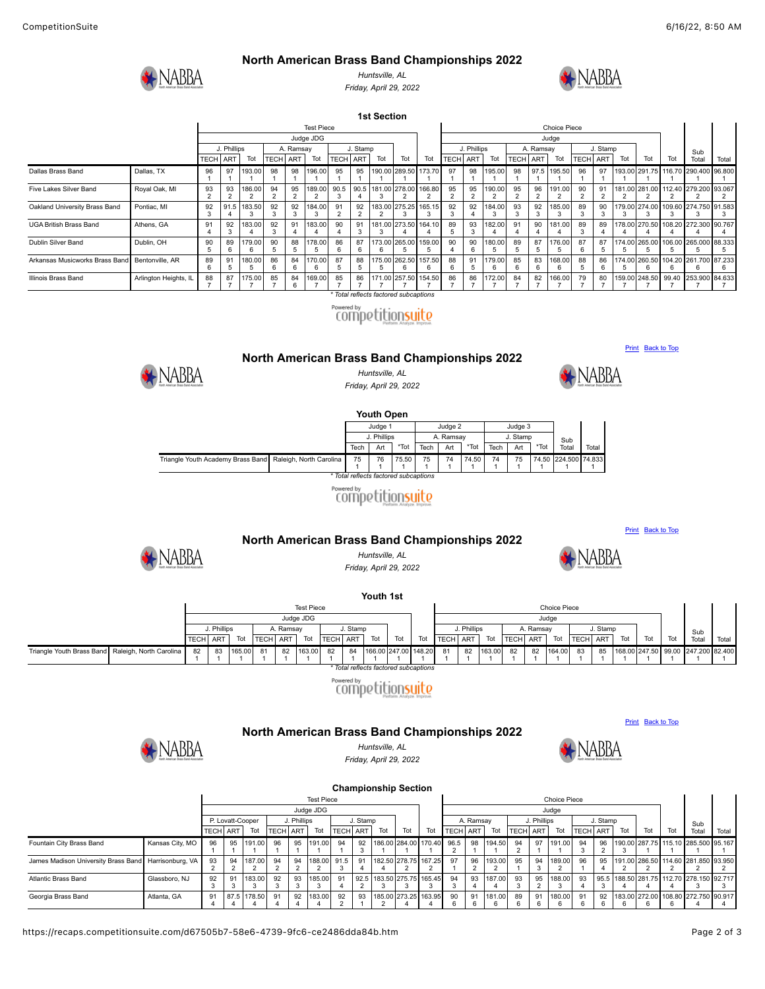#### **North American Brass Band Championships 2022**



*Huntsville, AL Friday, April 29, 2022*



**1st Section** Test Piece Choice Piece Choice Piece Sub<br>Total **Tota** Judge JDG Judge J. Phillips A. Ramsay J. Stamp J. Phillips A. Ramsay J. Stamp TECH ART | Tot | TECH | ART | Tot | TECH | ART | Tot | Tot | Tot | TECH | ART | Tot | Tot | TCT | Tot | Tot | Tot | Tot | Tot | Tot | Tot Dallas Brass Band Dallas, TX 96 1 97 1 193.00 1 98 1 98 1 96.00 1 95 1 95 1 90.0 1 289.5 1 173.70 1 97 1 98 1 95.00 1 98 1 97.5 1 95.51 1 96 1 97 1 193.00 291.75 1 1  $116.7$ 1 290.40 1  $6.80$ 1 Five Lakes Silver Band Royal Oak, MI  $\frac{93}{2}$ 93 2 186.00  $\frac{1}{2}$ 94 2 95 2 189.00 2 90.5 3 90.5 4 181.00 3 278.0  $\frac{1}{2}$ 166.80 2 95 2 95 2 190.00 2 95 2 96 2 191.00  $\frac{1}{2}$ 90 2 91 2 181.00 281.00 5 5 112.40 2 279.20  $\frac{1}{2}$ 83.067  $\frac{1}{2}$ Oakland University Brass Band Pontiac, MI 92  $\frac{5}{3}$ 91.5 4 183.50 3 92 3 **92**  $\frac{5}{3}$ 184.00 3 91 2 92  $\overline{2}$ 183.00  $\overline{2}$ 275.25  $\frac{9}{3}$ 165.15  $\frac{3}{3}$ 92  $\frac{3}{3}$ **92**  $\frac{3}{4}$ 184.00 3 93  $\frac{56}{3}$ 92  $\frac{5}{3}$ 185.00 3 89  $\frac{5}{3}$  $\overline{90}$ .<br>3 179.00 274.00 3 3 109.60 3 274.750 3 91.583 3 UGA British Brass Band Athens, GA 91 4 92 3 183.00 4 92 3 91 4 83.0 4 90 4 91 3 181.0 3  $73.5$ 4 64.10 4 89 5 93 3 82.00 4 91 4 90 4  $181.0$ 4 89 3 89 4 178.00 270.50 4 4  $108.2$ 4  $72.30$ 4 0.76 4 Dublin Silver Band Dublin, OH  $^{\rm 90}_{\rm 5}$ 89 6 179.00  $\overline{6}$ 90 5 88 5 178.00 5 86 6 87 6 173.00  $\overline{6}$ 265.00 5 159.00 5 90 4 90  $\overline{6}$ 180.00 5 89  $\overline{5}$ 87 5 176.00 5 87 6 87 5 174.00 265.00 5 5 106.00 5 265.000 5 88.333  $\overline{5}$ Arkansas Musicworks Brass Band Bentonville, AR  $\frac{5}{6}$ 91 5 180.00 5 86 6 84 6 170.00 6 87 5 88 5 175.00 5 .<br>እፍን 5  $\tilde{6}$ 157.50  $\frac{5}{6}$ 88 6 91 5 179.00 6 85 6 83 6 168.00 6 88 5 86 6 174.00 260.50 5 6  $104.2$  $\overline{6}$ 261.700  $\ddot{6}$ 87.233 6 Illinois Brass Band Arlington Heights, IL 88 7 87 7 175.00 7 85 7 84 6 169.00 7 85 7 86 7 171.00 7 257.50 7 154.50 7 86 7 86 7 172.00 7 84 7 82 7 166.0 7 79 7 80 7 159.00 248.50 7 7 99.40 7 253.90 7 84.633 7

> *\* Total reflects factored subcaptions* Powered by<br>COMPetitionsuite

<span id="page-1-0"></span>

### *Huntsville, AL*

*Friday, April 29, 2022*



**Youth Open** Judge 1 **Judge 2** Judge 3 Sub **Tota** J. Phillips A. Ramsay J. Stamp Tech Art \*Tot Tech Art \*Tot Tech Art \*Tot Triangle Youth Academy Brass Band Raleigh, North Carolina  $\begin{array}{c} 75 \\ 1 \end{array}$ 76 1 75.50 1 75 1 74 1 74.50 1 74 1 75 1 74.50 1 224.50 1 74.833 1 *\* Total reflects factored subcaptions*

## Powered by<br>COMPOCtitionsuito



[Print](https://recaps.competitionsuite.com/c1982456-dd64-4674-bcbe-803051374900.htm) [Back to Top](#page-0-4)

**[Print](https://recaps.competitionsuite.com/7a64401d-3e54-46da-9fc6-f339cf4e2a57.htm)** [Back to Top](#page-0-4)

<span id="page-1-1"></span>

<span id="page-1-2"></span>**NABBA** 

**North American Brass Band Championships 2022** *Huntsville, AL Friday, April 29, 2022*



**Youth 1st** Test Piece Choice Piece Choice Piece Choice Piece Choice Piece Choice Piece Choice Piece Choice Piece Choice Piece Choice Piece Choice Piece Choice Piece Choice Piece Choice Piece Choice Piece Choice Piece Choice Piece Cho Judge JDG Judge J. Phillips | A. Ramsay | J. Stamp | | | J. Phillips | A. Ramsay | J. Stamp Sub TECH ART Tot TECH ART Tot TECH ART Tot Tot Tot Tot Tot TECH ART Tot TECH ART Tot TECH ART Tot Tot Tot Total Total 163.00 148.20 163.00 Triangle Youth Brass Band Raleigh, North Carolina 82 165.00 81 82 164.00 168.00 247.50 99.00 83 1 81 1 82 1 82 1 84 1 166.00 247.00 82 1 82 1 83 1 85 1 247.200 82.400 .بر<br>1 1 1 1 1 1 1 1 1 1 1 1 1 1 1 *Total reflects factored* Powered by<br>COMPQUE CONSUITO



*Huntsville, AL Friday, April 29, 2022*